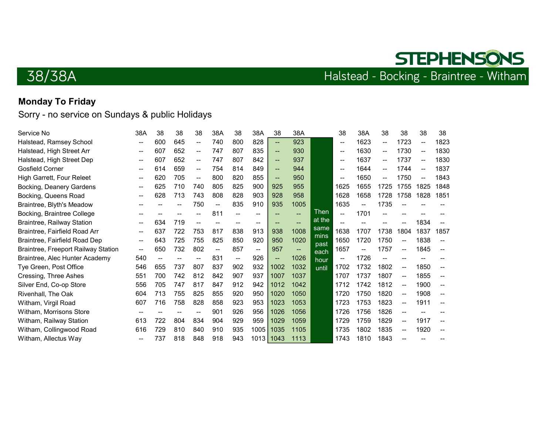

## 38/38A

## Halstead - Bocking - Braintree - Witham

### Monday To Friday

| Service No                          | 38A                                   | 38  | 38  | 38                       | 38A                      | 38                | 38A                      | 38                       | 38A                      |              | 38                       | 38A  | 38   | 38                       | 38                       | 38   |
|-------------------------------------|---------------------------------------|-----|-----|--------------------------|--------------------------|-------------------|--------------------------|--------------------------|--------------------------|--------------|--------------------------|------|------|--------------------------|--------------------------|------|
| Halstead, Ramsey School             | --                                    | 600 | 645 | $\overline{\phantom{a}}$ | 740                      | 800               | 828                      | $\overline{\phantom{a}}$ | 923                      |              | $\hspace{0.05cm}$        | 1623 | --   | 1723                     | $\overline{\phantom{m}}$ | 1823 |
| Halstead, High Street Arr           | --                                    | 607 | 652 | $\overline{\phantom{a}}$ | 747                      | 807               | 835                      | $\overline{\phantom{a}}$ | 930                      |              | $-$                      | 1630 | --   | 1730                     | --                       | 1830 |
| Halstead, High Street Dep           | $- -$                                 | 607 | 652 | $\overline{\phantom{a}}$ | 747                      | 807               | 842                      | $\overline{\phantom{a}}$ | 937                      |              | $-$                      | 1637 | --   | 1737                     | --                       | 1830 |
| <b>Gosfield Corner</b>              | --                                    | 614 | 659 | $\overline{\phantom{m}}$ | 754                      | 814               | 849                      | $\sim$                   | 944                      |              | $-$                      | 1644 | --   | 1744                     | --                       | 1837 |
| High Garrett, Four Releet           | --                                    | 620 | 705 | $\overline{\phantom{a}}$ | 800                      | 820               | 855                      | $\overline{\phantom{a}}$ | 950                      |              | $\overline{\phantom{m}}$ | 1650 | --   | 1750                     | $\overline{\phantom{a}}$ | 1843 |
| Bocking, Deanery Gardens            | $\overline{\phantom{m}}$              | 625 | 710 | 740                      | 805                      | 825               | 900                      | 925                      | 955                      |              | 1625                     | 1655 | 1725 | 1755                     | 1825                     | 1848 |
| Bocking, Queens Road                | --                                    | 628 | 713 | 743                      | 808                      | 828               | 903                      | 928                      | 958                      |              | 1628                     | 1658 | 1728 | 1758                     | 1828                     | 1851 |
| Braintree, Blyth's Meadow           | --                                    |     |     | 750                      | $\overline{\phantom{a}}$ | 835               | 910                      | 935                      | 1005                     |              | 1635                     | --   | 1735 | --                       |                          |      |
| Bocking, Braintree College          |                                       |     |     |                          | 811                      |                   |                          |                          | $\overline{a}$           | Then         | $\overline{\phantom{a}}$ | 1701 |      |                          |                          |      |
| <b>Braintree, Railway Station</b>   | $\hspace{0.05cm}$ – $\hspace{0.05cm}$ | 634 | 719 | --                       | $\overline{\phantom{a}}$ | $\hspace{0.05cm}$ | $\hspace{0.05cm}$        | --                       | $\overline{\phantom{a}}$ | at the       | $\sim$                   |      |      |                          | 1834                     |      |
| Braintree, Fairfield Road Arr       | --                                    | 637 | 722 | 753                      | 817                      | 838               | 913                      | 938                      | 1008                     | same         | 1638                     | 1707 | 1738 | 1804                     | 1837                     | 1857 |
| Braintree, Fairfield Road Dep       | --                                    | 643 | 725 | 755                      | 825                      | 850               | 920                      | 950                      | 1020                     | mins<br>past | 1650                     | 1720 | 1750 | $\overline{\phantom{m}}$ | 1838                     |      |
| Braintree, Freeport Railway Station | $\hspace{0.05cm}$ – $\hspace{0.05cm}$ | 650 | 732 | 802                      | --                       | 857               | $\overline{\phantom{m}}$ | 957                      | $\sim$                   | each         | 1657                     | --   | 1757 | $\overline{\phantom{a}}$ | 1845                     |      |
| Braintree, Alec Hunter Academy      | 540                                   | --  |     | --                       | 831                      | $--$              | 926                      | $\overline{\phantom{a}}$ | 1026                     | hour         | $\overline{\phantom{a}}$ | 1726 | --   |                          |                          |      |
| Tye Green, Post Office              | 546                                   | 655 | 737 | 807                      | 837                      | 902               | 932                      | 1002                     | 1032                     | until        | 1702                     | 1732 | 1802 | $\overline{\phantom{a}}$ | 1850                     | --   |
| Cressing, Three Ashes               | 551                                   | 700 | 742 | 812                      | 842                      | 907               | 937                      | 1007                     | 1037                     |              | 1707                     | 1737 | 1807 | --                       | 1855                     |      |
| Silver End, Co-op Store             | 556                                   | 705 | 747 | 817                      | 847                      | 912               | 942                      | 1012                     | 1042                     |              | 1712                     | 1742 | 1812 | $\overline{\phantom{a}}$ | 1900                     |      |
| Rivenhall, The Oak                  | 604                                   | 713 | 755 | 825                      | 855                      | 920               | 950                      | 1020                     | 1050                     |              | 1720                     | 1750 | 1820 | $\overline{\phantom{a}}$ | 1908                     |      |
| Witham, Virgil Road                 | 607                                   | 716 | 758 | 828                      | 858                      | 923               | 953                      | 1023                     | 1053                     |              | 1723                     | 1753 | 1823 | --                       | 1911                     |      |
| Witham, Morrisons Store             |                                       |     |     | --                       | 901                      | 926               | 956                      | 1026                     | 1056                     |              | 1726                     | 1756 | 1826 | $\overline{\phantom{a}}$ |                          |      |
| Witham, Railway Station             | 613                                   | 722 | 804 | 834                      | 904                      | 929               | 959                      | 1029                     | 1059                     |              | 1729                     | 1759 | 1829 | $\overline{\phantom{a}}$ | 1917                     |      |
| Witham, Collingwood Road            | 616                                   | 729 | 810 | 840                      | 910                      | 935               | 1005                     | 1035                     | 1105                     |              | 1735                     | 1802 | 1835 | --                       | 1920                     |      |
| Witham, Allectus Way                | --                                    | 737 | 818 | 848                      | 918                      | 943               | $1013$ 1043              |                          | 1113                     |              | 1743                     | 1810 | 1843 |                          |                          |      |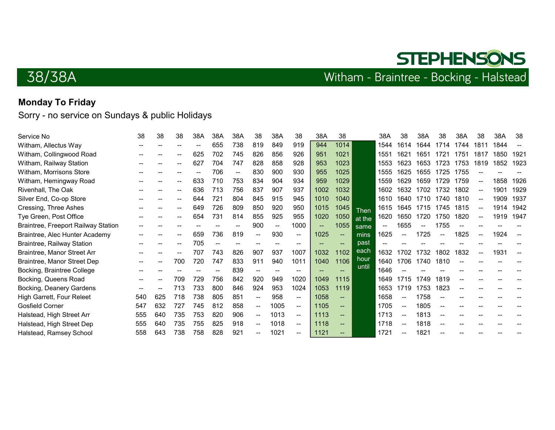**STEPHENSONS** 

## 38/38A

### Monday To Friday

| Service No                          | 38                       | 38  | 38    | 38A | 38A                      | 38A | 38                       | 38A                                               | 38                       | 38A                      | 38                       |        | 38A  | 38   | 38A  | 38   | 38A  | 38                | 38A  | 38   |
|-------------------------------------|--------------------------|-----|-------|-----|--------------------------|-----|--------------------------|---------------------------------------------------|--------------------------|--------------------------|--------------------------|--------|------|------|------|------|------|-------------------|------|------|
| Witham, Allectus Way                |                          |     |       | --  | 655                      | 738 | 819                      | 849                                               | 919                      | 944                      | 1014                     |        | 1544 | 1614 | 1644 | 1714 | 1744 | 1811              | 1844 |      |
| Witham, Collingwood Road            |                          |     |       | 625 | 702                      | 745 | 826                      | 856                                               | 926                      | 951                      | 1021                     |        | 1551 | 1621 | 1651 | 1721 | 1751 | 1817              | 1850 | 1921 |
| Witham, Railway Station             |                          |     |       | 627 | 704                      | 747 | 828                      | 858                                               | 928                      | 953                      | 1023                     |        | 1553 | 1623 | 1653 | 1723 | 1753 | 1819              | 1852 | 1923 |
| Witham, Morrisons Store             |                          |     |       | --  | 706                      | --  | 830                      | 900                                               | 930                      | 955                      | 1025                     |        | 1555 | 1625 | 1655 | 1725 | 1755 |                   |      |      |
| Witham, Hemingway Road              |                          |     |       | 633 | 710                      | 753 | 834                      | 904                                               | 934                      | 959                      | 1029                     |        | 1559 | 1629 | 1659 | 1729 | 1759 |                   | 1858 | 1926 |
| Rivenhall, The Oak                  |                          |     |       | 636 | 713                      | 756 | 837                      | 907                                               | 937                      | 1002                     | 1032                     |        | 1602 | 1632 | 1702 | 1732 | 1802 |                   | 1901 | 1929 |
| Silver End, Co-op Store             |                          |     | $- -$ | 644 | 721                      | 804 | 845                      | 915                                               | 945                      | 1010                     | 1040                     |        | 1610 | 1640 | 1710 | 1740 | 1810 | $\hspace{0.05cm}$ | 1909 | 1937 |
| Cressing, Three Ashes               |                          |     |       | 649 | 726                      | 809 | 850                      | 920                                               | 950                      | 1015                     | 1045                     | Then   | 1615 | 1645 | 1715 | 1745 | 1815 | $\mathbf{u}$      | 1914 | 1942 |
| Tye Green, Post Office              |                          |     |       | 654 | 731                      | 814 | 855                      | 925                                               | 955                      | 1020                     | 1050                     | at the | 1620 | 1650 | 1720 | 1750 | 1820 |                   | 1919 | 1947 |
| Braintree, Freeport Railway Station |                          |     |       |     |                          | --  | 900                      | --                                                | 1000                     | $\overline{\phantom{a}}$ | 1055                     | same   | --   | 1655 |      | 1755 |      |                   |      |      |
| Braintree, Alec Hunter Academy      |                          |     |       | 659 | 736                      | 819 | --                       | 930                                               | $--$                     | 1025                     | $\sim$                   | mins   | 1625 |      | 1725 |      | 1825 |                   | 1924 |      |
| <b>Braintree, Railway Station</b>   |                          |     | --    | 705 | $\overline{\phantom{a}}$ | --  | --                       | $- -$                                             | $\overline{\phantom{a}}$ | --                       | $\overline{\phantom{a}}$ | past   |      |      |      |      |      |                   |      |      |
| Braintree, Manor Street Arr         |                          |     |       | 707 | 743                      | 826 | 907                      | 937                                               | 1007                     | 1032                     | 1102                     | each   | 1632 | 1702 | 1732 | 1802 | 1832 |                   | 1931 | --   |
| Braintree, Manor Street Dep         |                          |     | 700   | 720 | 747                      | 833 | 911                      | 940                                               | 1011                     | 1040                     | 1106                     | hour   | 1640 | 1706 | 1740 | 1810 |      |                   |      |      |
| Bocking, Braintree College          | $\overline{\phantom{m}}$ | --  |       |     |                          | 839 | $- -$                    | $\hspace{0.05cm}-\hspace{0.05cm}-\hspace{0.05cm}$ | $\overline{\phantom{m}}$ | --                       |                          | until  | 1646 |      |      |      |      |                   |      |      |
| Bocking, Queens Road                |                          |     | 709   | 729 | 756                      | 842 | 920                      | 949                                               | 1020                     | 1049                     | 1115                     |        | 1649 | 1715 | 1749 | 1819 |      |                   |      |      |
| Bocking, Deanery Gardens            |                          |     | 713   | 733 | 800                      | 846 | 924                      | 953                                               | 1024                     | 1053                     | 1119                     |        | 1653 | 1719 | 1753 | 1823 |      |                   |      |      |
| High Garrett, Four Releet           | 540                      | 625 | 718   | 738 | 805                      | 851 | --                       | 958                                               | $\hspace{0.05cm}$        | 1058                     | $\overline{\phantom{a}}$ |        | 1658 |      | 1758 |      |      |                   |      |      |
| <b>Gosfield Corner</b>              | 547                      | 632 | 727   | 745 | 812                      | 858 | $\overline{\phantom{a}}$ | 1005                                              | $\overline{\phantom{a}}$ | 1105                     | $\overline{\phantom{a}}$ |        | 1705 |      | 1805 |      |      |                   |      |      |
| Halstead, High Street Arr           | 555                      | 640 | 735   | 753 | 820                      | 906 | $\overline{\phantom{a}}$ | 1013                                              | $\sim$                   | 1113                     | $\sim$                   |        | 1713 |      | 1813 |      |      |                   |      |      |
| Halstead, High Street Dep           | 555                      | 640 | 735   | 755 | 825                      | 918 | --                       | 1018                                              | $--$                     | 1118                     | $\overline{\phantom{a}}$ |        | 1718 |      | 1818 |      |      |                   |      |      |
| Halstead, Ramsey School             | 558                      | 643 | 738   | 758 | 828                      | 921 |                          | 1021                                              | --                       | 1121                     |                          |        | 1721 |      | 1821 |      |      |                   |      |      |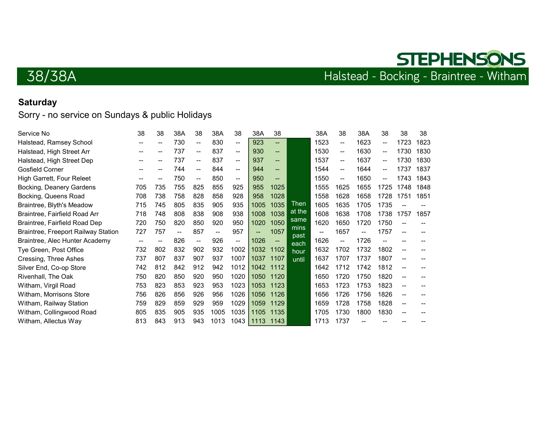## **STEPHENSONS** 38/38A Halstead - Bocking - Braintree - Witham

### **Saturday**

| Service No                          | 38    | 38  | 38A | 38                       | 38A                      | 38   | 38A                      | 38                       |              | 38A  | 38                                                | 38A                      | 38                       | 38                       | 38   |
|-------------------------------------|-------|-----|-----|--------------------------|--------------------------|------|--------------------------|--------------------------|--------------|------|---------------------------------------------------|--------------------------|--------------------------|--------------------------|------|
| Halstead, Ramsey School             | --    | --  | 730 | $\overline{\phantom{m}}$ | 830                      | --   | 923                      | $\overline{\phantom{a}}$ |              | 1523 | $\overline{\phantom{a}}$                          | 1623                     | $\overline{\phantom{a}}$ | 1723                     | 1823 |
| Halstead, High Street Arr           | $- -$ | --  | 737 | $\mathbf{u}$             | 837                      | $-$  | 930                      | $\sim$                   |              | 1530 | $\overline{\phantom{a}}$                          | 1630                     | $\sim$                   | 1730                     | 1830 |
| Halstead, High Street Dep           |       |     | 737 | $\sim$                   | 837                      | --   | 937                      | $\overline{\phantom{a}}$ |              | 1537 | $\hspace{0.05cm}-\hspace{0.05cm}-\hspace{0.05cm}$ | 1637                     | $\overline{\phantom{a}}$ | 1730                     | 1830 |
| <b>Gosfield Corner</b>              | --    | --  | 744 | $\overline{\phantom{a}}$ | 844                      | $-$  | 944                      | $\overline{\phantom{a}}$ |              | 1544 | $\overline{\phantom{a}}$                          | 1644                     | --                       | 1737                     | 1837 |
| High Garrett, Four Releet           | --    | --  | 750 | $\overline{\phantom{a}}$ | 850                      | --   | 950                      | $\sim$                   |              | 1550 | $\overline{\phantom{a}}$                          | 1650                     | $\overline{\phantom{a}}$ | 1743                     | 1843 |
| Bocking, Deanery Gardens            | 705   | 735 | 755 | 825                      | 855                      | 925  | 955                      | 1025                     |              | 1555 | 1625                                              | 1655                     | 1725                     | 1748                     | 1848 |
| Bocking, Queens Road                | 708   | 738 | 758 | 828                      | 858                      | 928  | 958                      | 1028                     |              | 1558 | 1628                                              | 1658                     | 1728                     | 1751                     | 1851 |
| Braintree, Blyth's Meadow           | 715   | 745 | 805 | 835                      | 905                      | 935  | 1005                     | 1035                     | Then         | 1605 | 1635                                              | 1705                     | 1735                     | --                       |      |
| Braintree, Fairfield Road Arr       | 718   | 748 | 808 | 838                      | 908                      | 938  | 1008                     | 1038                     | at the       | 1608 | 1638                                              | 1708                     | 1738                     | 1757                     | 1857 |
| Braintree, Fairfield Road Dep       | 720   | 750 | 820 | 850                      | 920                      | 950  | 1020                     | 1050                     | same         | 1620 | 1650                                              | 1720                     | 1750                     | --                       |      |
| Braintree, Freeport Railway Station | 727   | 757 | --  | 857                      | $\overline{\phantom{a}}$ | 957  | $\overline{\phantom{a}}$ | 1057                     | mins<br>past | --   | 1657                                              | $\overline{\phantom{a}}$ | 1757                     | $\overline{\phantom{a}}$ |      |
| Braintree, Alec Hunter Academy      | --    | --  | 826 | $\sim$                   | 926                      | $-$  | 1026                     | $\overline{\phantom{a}}$ | each         | 1626 | $\overline{\phantom{a}}$                          | 1726                     | $\overline{\phantom{a}}$ |                          |      |
| Tye Green, Post Office              | 732   | 802 | 832 | 902                      | 932                      | 1002 | 1032                     | 1102                     | hour         | 1632 | 1702                                              | 1732                     | 1802                     | --                       |      |
| Cressing, Three Ashes               | 737   | 807 | 837 | 907                      | 937                      | 1007 | 1037                     | 1107                     | until        | 1637 | 1707                                              | 1737                     | 1807                     | --                       |      |
| Silver End, Co-op Store             | 742   | 812 | 842 | 912                      | 942                      | 1012 | 1042                     | 1112                     |              | 1642 | 1712                                              | 1742                     | 1812                     | --                       |      |
| Rivenhall, The Oak                  | 750   | 820 | 850 | 920                      | 950                      | 1020 | 1050                     | 1120                     |              | 1650 | 1720                                              | 1750                     | 1820                     | --                       |      |
| Witham, Virgil Road                 | 753   | 823 | 853 | 923                      | 953                      | 1023 | 1053                     | 1123                     |              | 1653 | 1723                                              | 1753                     | 1823                     | --                       |      |
| Witham, Morrisons Store             | 756   | 826 | 856 | 926                      | 956                      | 1026 | 1056                     | 1126                     |              | 1656 | 1726                                              | 1756                     | 1826                     | --                       |      |
| Witham, Railway Station             | 759   | 829 | 859 | 929                      | 959                      | 1029 | 1059                     | 1129                     |              | 1659 | 1728                                              | 1758                     | 1828                     | --                       |      |
| Witham, Collingwood Road            | 805   | 835 | 905 | 935                      | 1005                     | 1035 | 1105                     | 1135                     |              | 1705 | 1730                                              | 1800                     | 1830                     | --                       |      |
| Witham, Allectus Way                | 813   | 843 | 913 | 943                      | 1013                     | 1043 | 1113                     | 1143                     |              | 1713 | 1737                                              |                          |                          |                          |      |